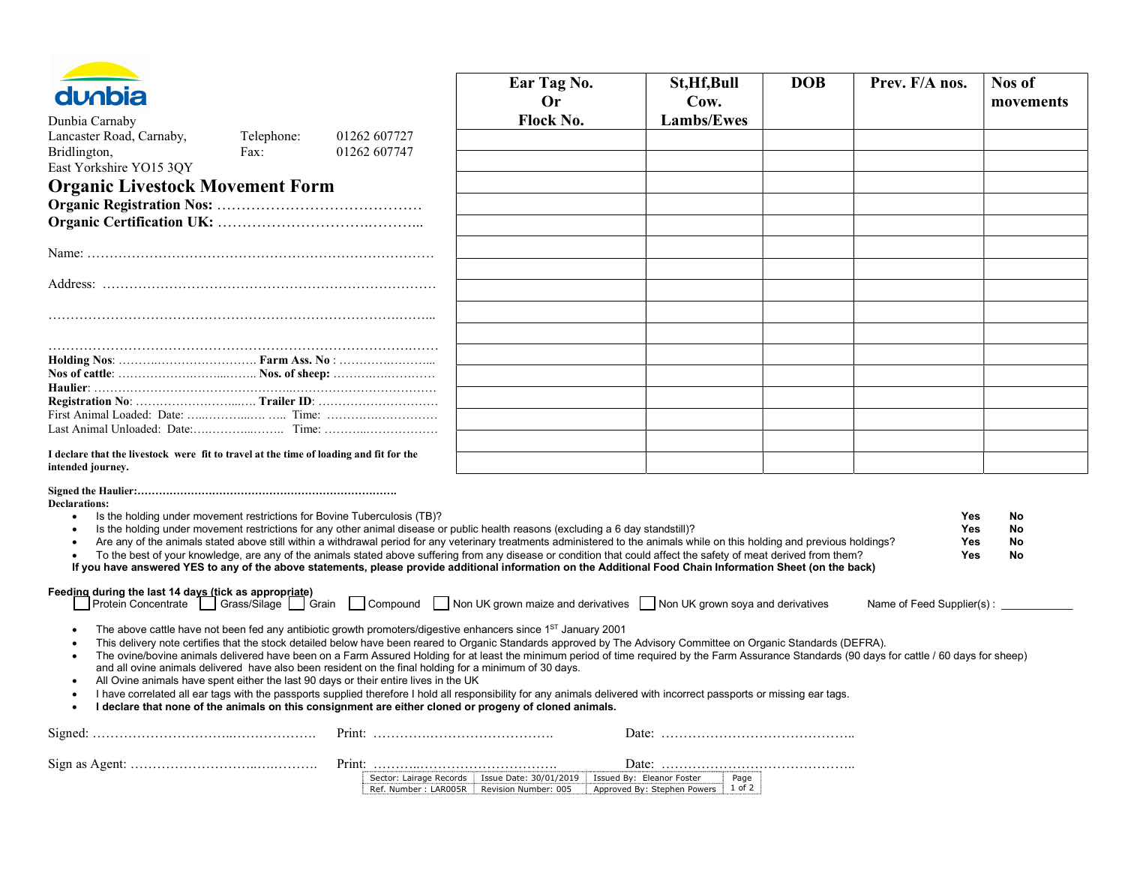| <b>dunbia</b>                                                                                                                                                                                                                                                                                                                                                                                                                                                                                                                                                                                                                                                                                                                                                                                                     |                    |                              | Ear Tag No.<br>Or                                                                                                         | St, Hf, Bull<br>Cow.        | <b>DOB</b>     | Prev. F/A nos.                                                                                                                                                                                   | Nos of<br>movements  |
|-------------------------------------------------------------------------------------------------------------------------------------------------------------------------------------------------------------------------------------------------------------------------------------------------------------------------------------------------------------------------------------------------------------------------------------------------------------------------------------------------------------------------------------------------------------------------------------------------------------------------------------------------------------------------------------------------------------------------------------------------------------------------------------------------------------------|--------------------|------------------------------|---------------------------------------------------------------------------------------------------------------------------|-----------------------------|----------------|--------------------------------------------------------------------------------------------------------------------------------------------------------------------------------------------------|----------------------|
| Dunbia Carnaby                                                                                                                                                                                                                                                                                                                                                                                                                                                                                                                                                                                                                                                                                                                                                                                                    |                    |                              | Flock No.                                                                                                                 | <b>Lambs/Ewes</b>           |                |                                                                                                                                                                                                  |                      |
| Lancaster Road, Carnaby,<br>Bridlington,<br>East Yorkshire YO15 3QY                                                                                                                                                                                                                                                                                                                                                                                                                                                                                                                                                                                                                                                                                                                                               | Telephone:<br>Fax: | 01262 607727<br>01262 607747 |                                                                                                                           |                             |                |                                                                                                                                                                                                  |                      |
|                                                                                                                                                                                                                                                                                                                                                                                                                                                                                                                                                                                                                                                                                                                                                                                                                   |                    |                              |                                                                                                                           |                             |                |                                                                                                                                                                                                  |                      |
| <b>Organic Livestock Movement Form</b>                                                                                                                                                                                                                                                                                                                                                                                                                                                                                                                                                                                                                                                                                                                                                                            |                    |                              |                                                                                                                           |                             |                |                                                                                                                                                                                                  |                      |
|                                                                                                                                                                                                                                                                                                                                                                                                                                                                                                                                                                                                                                                                                                                                                                                                                   |                    |                              |                                                                                                                           |                             |                |                                                                                                                                                                                                  |                      |
|                                                                                                                                                                                                                                                                                                                                                                                                                                                                                                                                                                                                                                                                                                                                                                                                                   |                    |                              |                                                                                                                           |                             |                |                                                                                                                                                                                                  |                      |
|                                                                                                                                                                                                                                                                                                                                                                                                                                                                                                                                                                                                                                                                                                                                                                                                                   |                    |                              |                                                                                                                           |                             |                |                                                                                                                                                                                                  |                      |
|                                                                                                                                                                                                                                                                                                                                                                                                                                                                                                                                                                                                                                                                                                                                                                                                                   |                    |                              |                                                                                                                           |                             |                |                                                                                                                                                                                                  |                      |
|                                                                                                                                                                                                                                                                                                                                                                                                                                                                                                                                                                                                                                                                                                                                                                                                                   |                    |                              |                                                                                                                           |                             |                |                                                                                                                                                                                                  |                      |
|                                                                                                                                                                                                                                                                                                                                                                                                                                                                                                                                                                                                                                                                                                                                                                                                                   |                    |                              |                                                                                                                           |                             |                |                                                                                                                                                                                                  |                      |
|                                                                                                                                                                                                                                                                                                                                                                                                                                                                                                                                                                                                                                                                                                                                                                                                                   |                    |                              |                                                                                                                           |                             |                |                                                                                                                                                                                                  |                      |
|                                                                                                                                                                                                                                                                                                                                                                                                                                                                                                                                                                                                                                                                                                                                                                                                                   |                    |                              |                                                                                                                           |                             |                |                                                                                                                                                                                                  |                      |
|                                                                                                                                                                                                                                                                                                                                                                                                                                                                                                                                                                                                                                                                                                                                                                                                                   |                    |                              |                                                                                                                           |                             |                |                                                                                                                                                                                                  |                      |
|                                                                                                                                                                                                                                                                                                                                                                                                                                                                                                                                                                                                                                                                                                                                                                                                                   |                    |                              |                                                                                                                           |                             |                |                                                                                                                                                                                                  |                      |
|                                                                                                                                                                                                                                                                                                                                                                                                                                                                                                                                                                                                                                                                                                                                                                                                                   |                    |                              |                                                                                                                           |                             |                |                                                                                                                                                                                                  |                      |
|                                                                                                                                                                                                                                                                                                                                                                                                                                                                                                                                                                                                                                                                                                                                                                                                                   |                    |                              |                                                                                                                           |                             |                |                                                                                                                                                                                                  |                      |
|                                                                                                                                                                                                                                                                                                                                                                                                                                                                                                                                                                                                                                                                                                                                                                                                                   |                    |                              |                                                                                                                           |                             |                |                                                                                                                                                                                                  |                      |
| I declare that the livestock were fit to travel at the time of loading and fit for the<br>intended journey.                                                                                                                                                                                                                                                                                                                                                                                                                                                                                                                                                                                                                                                                                                       |                    |                              |                                                                                                                           |                             |                |                                                                                                                                                                                                  |                      |
| <b>Declarations:</b><br>Is the holding under movement restrictions for Bovine Tuberculosis (TB)?<br>Is the holding under movement restrictions for any other animal disease or public health reasons (excluding a 6 day standstill)?<br>Are any of the animals stated above still within a withdrawal period for any veterinary treatments administered to the animals while on this holding and previous holdings?<br>To the best of your knowledge, are any of the animals stated above suffering from any disease or condition that could affect the safety of meat derived from them?<br>If you have answered YES to any of the above statements, please provide additional information on the Additional Food Chain Information Sheet (on the back)<br>Feeding during the last 14 days (tick as appropriate) |                    |                              |                                                                                                                           |                             |                | Yes<br><b>Yes</b><br>Yes<br>Yes                                                                                                                                                                  | No<br>No<br>No<br>No |
| Protein Concentrate ◯ Grass/Silage ◯ Grain ◯ Compound ◯ Non UK grown maize and derivatives ◯ Non UK grown soya and derivatives                                                                                                                                                                                                                                                                                                                                                                                                                                                                                                                                                                                                                                                                                    |                    |                              |                                                                                                                           |                             |                | Name of Feed Supplier(s):                                                                                                                                                                        |                      |
| The above cattle have not been fed any antibiotic growth promoters/digestive enhancers since 1 <sup>ST</sup> January 2001<br>This delivery note certifies that the stock detailed below have been reared to Organic Standards approved by The Advisory Committee on Organic Standards (DEFRA).<br>and all ovine animals delivered have also been resident on the final holding for a minimum of 30 days.<br>All Ovine animals have spent either the last 90 days or their entire lives in the UK<br>I have correlated all ear tags with the passports supplied therefore I hold all responsibility for any animals delivered with incorrect passports or missing ear tags.<br>I declare that none of the animals on this consignment are either cloned or progeny of cloned animals.                              |                    |                              |                                                                                                                           |                             |                | The ovine/bovine animals delivered have been on a Farm Assured Holding for at least the minimum period of time required by the Farm Assurance Standards (90 days for cattle / 60 days for sheep) |                      |
|                                                                                                                                                                                                                                                                                                                                                                                                                                                                                                                                                                                                                                                                                                                                                                                                                   |                    |                              |                                                                                                                           |                             |                |                                                                                                                                                                                                  |                      |
|                                                                                                                                                                                                                                                                                                                                                                                                                                                                                                                                                                                                                                                                                                                                                                                                                   |                    |                              | Sector: Lairage Records   Issue Date: 30/01/2019   Issued By: Eleanor Foster<br>Ref. Number: LAR005R Revision Number: 005 | Approved By: Stephen Powers | Page<br>1 of 2 |                                                                                                                                                                                                  |                      |